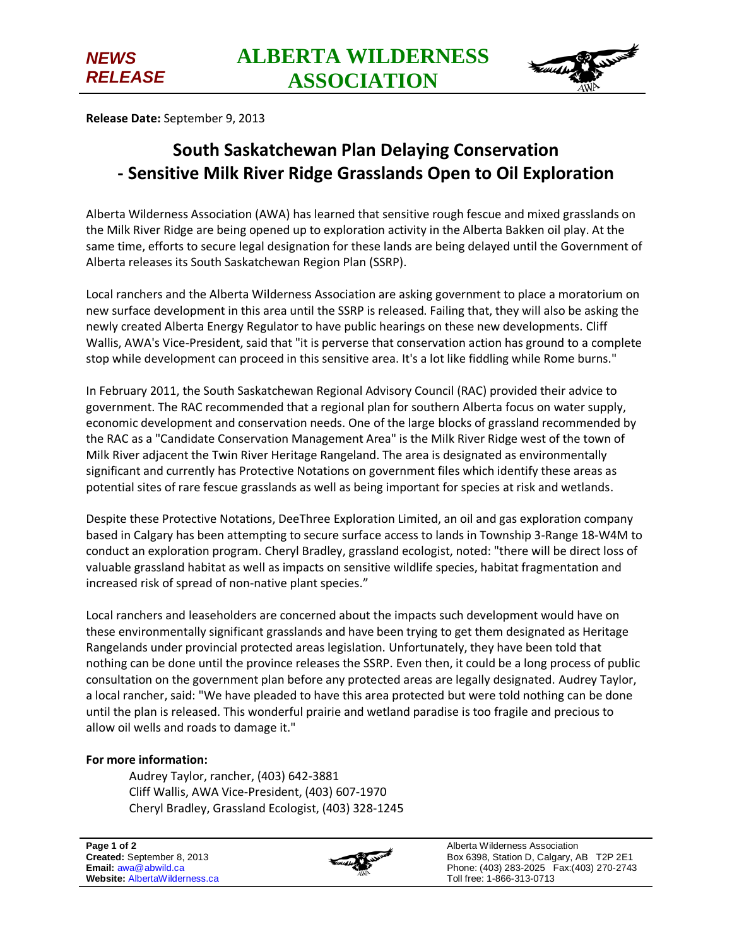

**Release Date:** September 9, 2013

*NEWS* 

*RELEASE*

## **South Saskatchewan Plan Delaying Conservation - Sensitive Milk River Ridge Grasslands Open to Oil Exploration**

Alberta Wilderness Association (AWA) has learned that sensitive rough fescue and mixed grasslands on the Milk River Ridge are being opened up to exploration activity in the Alberta Bakken oil play. At the same time, efforts to secure legal designation for these lands are being delayed until the Government of Alberta releases its South Saskatchewan Region Plan (SSRP).

Local ranchers and the Alberta Wilderness Association are asking government to place a moratorium on new surface development in this area until the SSRP is released. Failing that, they will also be asking the newly created Alberta Energy Regulator to have public hearings on these new developments. Cliff Wallis, AWA's Vice-President, said that "it is perverse that conservation action has ground to a complete stop while development can proceed in this sensitive area. It's a lot like fiddling while Rome burns."

In February 2011, the South Saskatchewan Regional Advisory Council (RAC) provided their advice to government. The RAC recommended that a regional plan for southern Alberta focus on water supply, economic development and conservation needs. One of the large blocks of grassland recommended by the RAC as a "Candidate Conservation Management Area" is the Milk River Ridge west of the town of Milk River adjacent the Twin River Heritage Rangeland. The area is designated as environmentally significant and currently has Protective Notations on government files which identify these areas as potential sites of rare fescue grasslands as well as being important for species at risk and wetlands.

Despite these Protective Notations, DeeThree Exploration Limited, an oil and gas exploration company based in Calgary has been attempting to secure surface access to lands in Township 3-Range 18-W4M to conduct an exploration program. Cheryl Bradley, grassland ecologist, noted: "there will be direct loss of valuable grassland habitat as well as impacts on sensitive wildlife species, habitat fragmentation and increased risk of spread of non-native plant species."

Local ranchers and leaseholders are concerned about the impacts such development would have on these environmentally significant grasslands and have been trying to get them designated as Heritage Rangelands under provincial protected areas legislation. Unfortunately, they have been told that nothing can be done until the province releases the SSRP. Even then, it could be a long process of public consultation on the government plan before any protected areas are legally designated. Audrey Taylor, a local rancher, said: "We have pleaded to have this area protected but were told nothing can be done until the plan is released. This wonderful prairie and wetland paradise is too fragile and precious to allow oil wells and roads to damage it."

## **For more information:**

Audrey Taylor, rancher, (403) 642-3881 Cliff Wallis, AWA Vice-President, (403) 607-1970 Cheryl Bradley, Grassland Ecologist, (403) 328-1245



Alberta Wilderness Association Box 6398, Station D, Calgary, AB T2P 2E1 Phone: (403) 283-2025 Fax:(403) 270-2743 Toll free: 1-866-313-0713